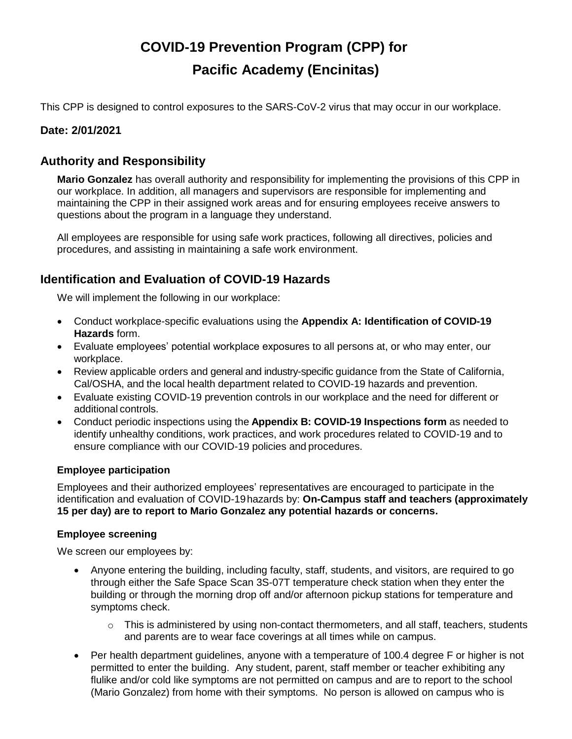# **COVID-19 Prevention Program (CPP) for Pacific Academy (Encinitas)**

This CPP is designed to control exposures to the SARS-CoV-2 virus that may occur in our workplace.

### **Date: 2/01/2021**

# **Authority and Responsibility**

**Mario Gonzalez** has overall authority and responsibility for implementing the provisions of this CPP in our workplace. In addition, all managers and supervisors are responsible for implementing and maintaining the CPP in their assigned work areas and for ensuring employees receive answers to questions about the program in a language they understand.

All employees are responsible for using safe work practices, following all directives, policies and procedures, and assisting in maintaining a safe work environment.

## **Identification and Evaluation of COVID-19 Hazards**

We will implement the following in our workplace:

- Conduct workplace-specific evaluations using the **Appendix A: Identification of COVID-19 Hazards** form.
- Evaluate employees' potential workplace exposures to all persons at, or who may enter, our workplace.
- Review applicable orders and general and industry-specific guidance from the State of California, Cal/OSHA, and the local health department related to COVID-19 hazards and prevention.
- Evaluate existing COVID-19 prevention controls in our workplace and the need for different or additional controls.
- Conduct periodic inspections using the **Appendix B: COVID-19 Inspections form** as needed to identify unhealthy conditions, work practices, and work procedures related to COVID-19 and to ensure compliance with our COVID-19 policies and procedures.

#### **Employee participation**

Employees and their authorized employees' representatives are encouraged to participate in the identification and evaluation of COVID-19hazards by: **On-Campus staff and teachers (approximately 15 per day) are to report to Mario Gonzalez any potential hazards or concerns.**

#### **Employee screening**

We screen our employees by:

- Anyone entering the building, including faculty, staff, students, and visitors, are required to go through either the Safe Space Scan 3S-07T temperature check station when they enter the building or through the morning drop off and/or afternoon pickup stations for temperature and symptoms check.
	- $\circ$  This is administered by using non-contact thermometers, and all staff, teachers, students and parents are to wear face coverings at all times while on campus.
- Per health department guidelines, anyone with a temperature of 100.4 degree F or higher is not permitted to enter the building. Any student, parent, staff member or teacher exhibiting any flulike and/or cold like symptoms are not permitted on campus and are to report to the school (Mario Gonzalez) from home with their symptoms. No person is allowed on campus who is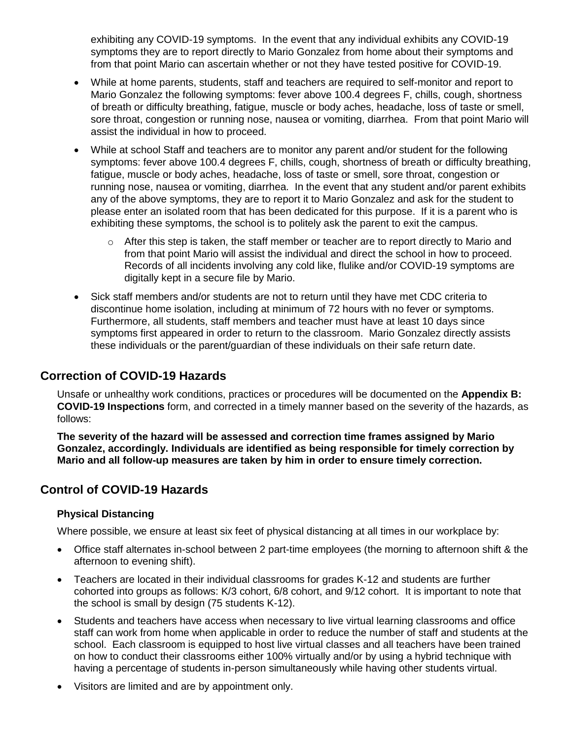exhibiting any COVID-19 symptoms. In the event that any individual exhibits any COVID-19 symptoms they are to report directly to Mario Gonzalez from home about their symptoms and from that point Mario can ascertain whether or not they have tested positive for COVID-19.

- While at home parents, students, staff and teachers are required to self-monitor and report to Mario Gonzalez the following symptoms: fever above 100.4 degrees F, chills, cough, shortness of breath or difficulty breathing, fatigue, muscle or body aches, headache, loss of taste or smell, sore throat, congestion or running nose, nausea or vomiting, diarrhea. From that point Mario will assist the individual in how to proceed.
- While at school Staff and teachers are to monitor any parent and/or student for the following symptoms: fever above 100.4 degrees F, chills, cough, shortness of breath or difficulty breathing, fatigue, muscle or body aches, headache, loss of taste or smell, sore throat, congestion or running nose, nausea or vomiting, diarrhea. In the event that any student and/or parent exhibits any of the above symptoms, they are to report it to Mario Gonzalez and ask for the student to please enter an isolated room that has been dedicated for this purpose. If it is a parent who is exhibiting these symptoms, the school is to politely ask the parent to exit the campus.
	- o After this step is taken, the staff member or teacher are to report directly to Mario and from that point Mario will assist the individual and direct the school in how to proceed. Records of all incidents involving any cold like, flulike and/or COVID-19 symptoms are digitally kept in a secure file by Mario.
- Sick staff members and/or students are not to return until they have met CDC criteria to discontinue home isolation, including at minimum of 72 hours with no fever or symptoms. Furthermore, all students, staff members and teacher must have at least 10 days since symptoms first appeared in order to return to the classroom. Mario Gonzalez directly assists these individuals or the parent/guardian of these individuals on their safe return date.

### **Correction of COVID-19 Hazards**

Unsafe or unhealthy work conditions, practices or procedures will be documented on the **Appendix B: COVID-19 Inspections** form, and corrected in a timely manner based on the severity of the hazards, as follows:

**The severity of the hazard will be assessed and correction time frames assigned by Mario Gonzalez, accordingly. Individuals are identified as being responsible for timely correction by Mario and all follow-up measures are taken by him in order to ensure timely correction.**

### **Control of COVID-19 Hazards**

### **Physical Distancing**

Where possible, we ensure at least six feet of physical distancing at all times in our workplace by:

- Office staff alternates in-school between 2 part-time employees (the morning to afternoon shift & the afternoon to evening shift).
- Teachers are located in their individual classrooms for grades K-12 and students are further cohorted into groups as follows: K/3 cohort, 6/8 cohort, and 9/12 cohort. It is important to note that the school is small by design (75 students K-12).
- Students and teachers have access when necessary to live virtual learning classrooms and office staff can work from home when applicable in order to reduce the number of staff and students at the school. Each classroom is equipped to host live virtual classes and all teachers have been trained on how to conduct their classrooms either 100% virtually and/or by using a hybrid technique with having a percentage of students in-person simultaneously while having other students virtual.
- Visitors are limited and are by appointment only.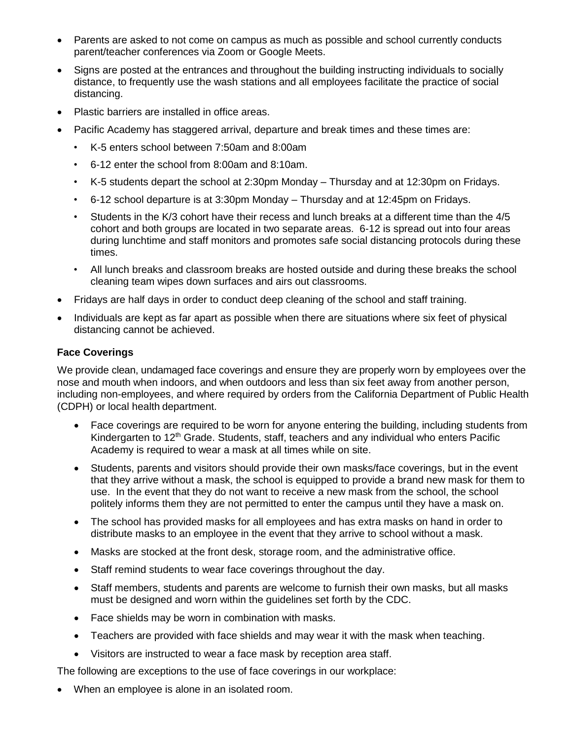- Parents are asked to not come on campus as much as possible and school currently conducts parent/teacher conferences via Zoom or Google Meets.
- Signs are posted at the entrances and throughout the building instructing individuals to socially distance, to frequently use the wash stations and all employees facilitate the practice of social distancing.
- Plastic barriers are installed in office areas.
- Pacific Academy has staggered arrival, departure and break times and these times are:
	- K-5 enters school between 7:50am and 8:00am
	- 6-12 enter the school from 8:00am and 8:10am.
	- K-5 students depart the school at 2:30pm Monday Thursday and at 12:30pm on Fridays.
	- 6-12 school departure is at 3:30pm Monday Thursday and at 12:45pm on Fridays.
	- Students in the K/3 cohort have their recess and lunch breaks at a different time than the 4/5 cohort and both groups are located in two separate areas. 6-12 is spread out into four areas during lunchtime and staff monitors and promotes safe social distancing protocols during these times.
	- All lunch breaks and classroom breaks are hosted outside and during these breaks the school cleaning team wipes down surfaces and airs out classrooms.
- Fridays are half days in order to conduct deep cleaning of the school and staff training.
- Individuals are kept as far apart as possible when there are situations where six feet of physical distancing cannot be achieved.

#### **Face Coverings**

We provide clean, undamaged face coverings and ensure they are properly worn by employees over the nose and mouth when indoors, and when outdoors and less than six feet away from another person, including non-employees, and where required by orders from the California Department of Public Health (CDPH) or local health department.

- Face coverings are required to be worn for anyone entering the building, including students from Kindergarten to 12<sup>th</sup> Grade. Students, staff, teachers and any individual who enters Pacific Academy is required to wear a mask at all times while on site.
- Students, parents and visitors should provide their own masks/face coverings, but in the event that they arrive without a mask, the school is equipped to provide a brand new mask for them to use. In the event that they do not want to receive a new mask from the school, the school politely informs them they are not permitted to enter the campus until they have a mask on.
- The school has provided masks for all employees and has extra masks on hand in order to distribute masks to an employee in the event that they arrive to school without a mask.
- Masks are stocked at the front desk, storage room, and the administrative office.
- Staff remind students to wear face coverings throughout the day.
- Staff members, students and parents are welcome to furnish their own masks, but all masks must be designed and worn within the guidelines set forth by the CDC.
- Face shields may be worn in combination with masks.
- Teachers are provided with face shields and may wear it with the mask when teaching.
- Visitors are instructed to wear a face mask by reception area staff.

The following are exceptions to the use of face coverings in our workplace:

When an employee is alone in an isolated room.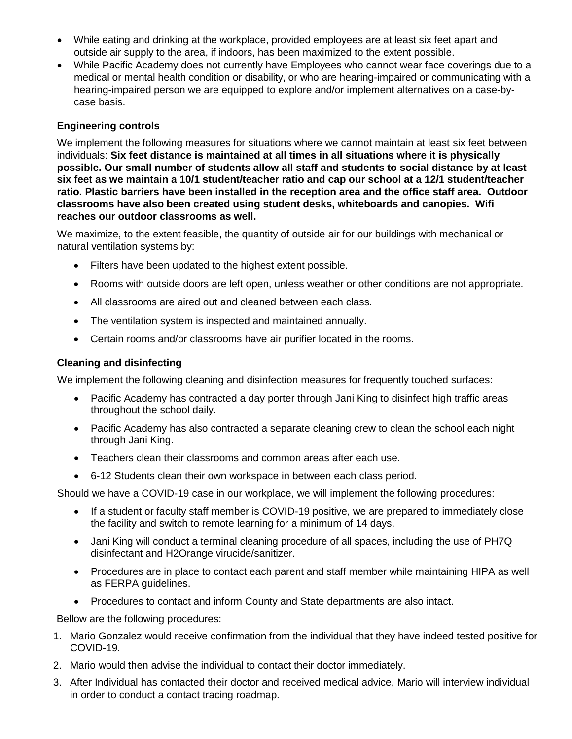- While eating and drinking at the workplace, provided employees are at least six feet apart and outside air supply to the area, if indoors, has been maximized to the extent possible.
- While Pacific Academy does not currently have Employees who cannot wear face coverings due to a medical or mental health condition or disability, or who are hearing-impaired or communicating with a hearing-impaired person we are equipped to explore and/or implement alternatives on a case-bycase basis.

### **Engineering controls**

We implement the following measures for situations where we cannot maintain at least six feet between individuals: **Six feet distance is maintained at all times in all situations where it is physically possible. Our small number of students allow all staff and students to social distance by at least six feet as we maintain a 10/1 student/teacher ratio and cap our school at a 12/1 student/teacher ratio. Plastic barriers have been installed in the reception area and the office staff area. Outdoor classrooms have also been created using student desks, whiteboards and canopies. Wifi reaches our outdoor classrooms as well.**

We maximize, to the extent feasible, the quantity of outside air for our buildings with mechanical or natural ventilation systems by:

- Filters have been updated to the highest extent possible.
- Rooms with outside doors are left open, unless weather or other conditions are not appropriate.
- All classrooms are aired out and cleaned between each class.
- The ventilation system is inspected and maintained annually.
- Certain rooms and/or classrooms have air purifier located in the rooms.

#### **Cleaning and disinfecting**

We implement the following cleaning and disinfection measures for frequently touched surfaces:

- Pacific Academy has contracted a day porter through Jani King to disinfect high traffic areas throughout the school daily.
- Pacific Academy has also contracted a separate cleaning crew to clean the school each night through Jani King.
- Teachers clean their classrooms and common areas after each use.
- 6-12 Students clean their own workspace in between each class period.

Should we have a COVID-19 case in our workplace, we will implement the following procedures:

- If a student or faculty staff member is COVID-19 positive, we are prepared to immediately close the facility and switch to remote learning for a minimum of 14 days.
- Jani King will conduct a terminal cleaning procedure of all spaces, including the use of PH7Q disinfectant and H2Orange virucide/sanitizer.
- Procedures are in place to contact each parent and staff member while maintaining HIPA as well as FERPA guidelines.
- Procedures to contact and inform County and State departments are also intact.

Bellow are the following procedures:

- 1. Mario Gonzalez would receive confirmation from the individual that they have indeed tested positive for COVID-19.
- 2. Mario would then advise the individual to contact their doctor immediately.
- 3. After Individual has contacted their doctor and received medical advice, Mario will interview individual in order to conduct a contact tracing roadmap.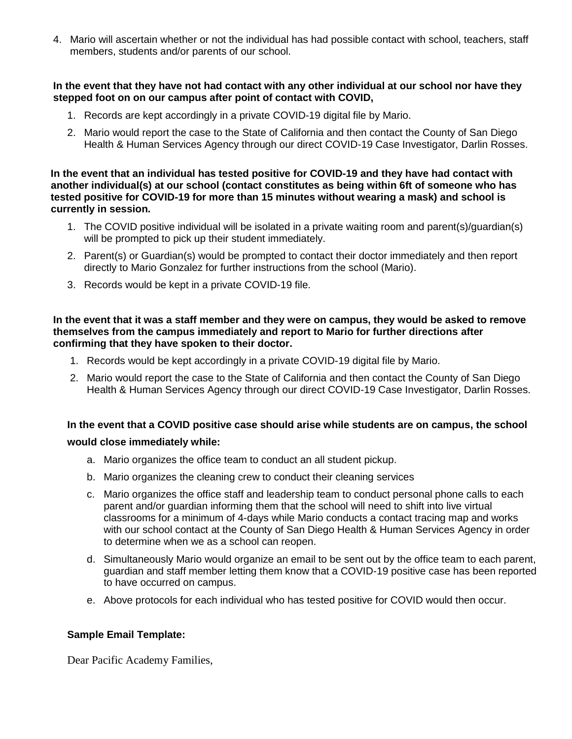4. Mario will ascertain whether or not the individual has had possible contact with school, teachers, staff members, students and/or parents of our school.

#### **In the event that they have not had contact with any other individual at our school nor have they stepped foot on on our campus after point of contact with COVID,**

- 1. Records are kept accordingly in a private COVID-19 digital file by Mario.
- 2. Mario would report the case to the State of California and then contact the County of San Diego Health & Human Services Agency through our direct COVID-19 Case Investigator, Darlin Rosses.

 **In the event that an individual has tested positive for COVID-19 and they have had contact with another individual(s) at our school (contact constitutes as being within 6ft of someone who has tested positive for COVID-19 for more than 15 minutes without wearing a mask) and school is currently in session.** 

- 1. The COVID positive individual will be isolated in a private waiting room and parent(s)/guardian(s) will be prompted to pick up their student immediately.
- 2. Parent(s) or Guardian(s) would be prompted to contact their doctor immediately and then report directly to Mario Gonzalez for further instructions from the school (Mario).
- 3. Records would be kept in a private COVID-19 file.

#### **In the event that it was a staff member and they were on campus, they would be asked to remove themselves from the campus immediately and report to Mario for further directions after confirming that they have spoken to their doctor.**

- 1. Records would be kept accordingly in a private COVID-19 digital file by Mario.
- 2. Mario would report the case to the State of California and then contact the County of San Diego Health & Human Services Agency through our direct COVID-19 Case Investigator, Darlin Rosses.

# **In the event that a COVID positive case should arise while students are on campus, the school**

#### **would close immediately while:**

- a. Mario organizes the office team to conduct an all student pickup.
- b. Mario organizes the cleaning crew to conduct their cleaning services
- c. Mario organizes the office staff and leadership team to conduct personal phone calls to each parent and/or guardian informing them that the school will need to shift into live virtual classrooms for a minimum of 4-days while Mario conducts a contact tracing map and works with our school contact at the County of San Diego Health & Human Services Agency in order to determine when we as a school can reopen.
- d. Simultaneously Mario would organize an email to be sent out by the office team to each parent, guardian and staff member letting them know that a COVID-19 positive case has been reported to have occurred on campus.
- e. Above protocols for each individual who has tested positive for COVID would then occur.

#### **Sample Email Template:**

Dear Pacific Academy Families,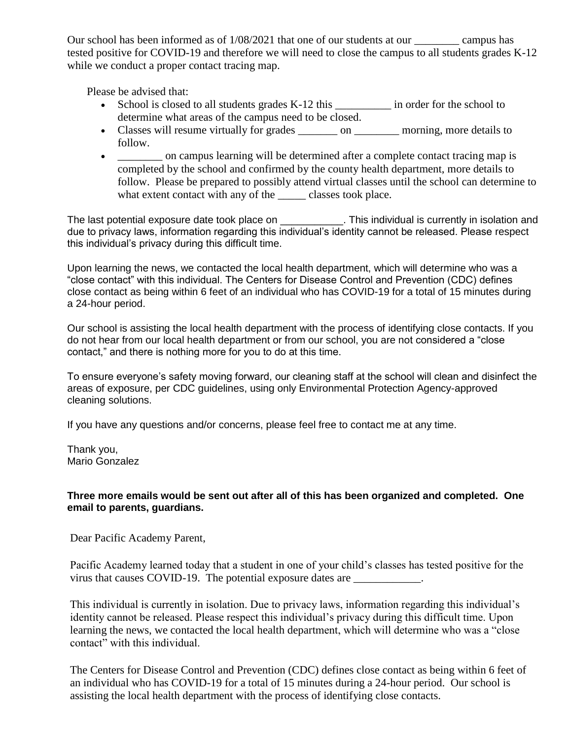Our school has been informed as of 1/08/2021 that one of our students at our \_\_\_\_\_\_\_\_ campus has tested positive for COVID-19 and therefore we will need to close the campus to all students grades K-12 while we conduct a proper contact tracing map.

Please be advised that:

- School is closed to all students grades K-12 this \_\_\_\_\_\_\_\_\_\_\_ in order for the school to determine what areas of the campus need to be closed.
- Classes will resume virtually for grades \_\_\_\_\_\_\_\_\_ on \_\_\_\_\_\_\_\_\_ morning, more details to follow.
- \_\_\_\_\_\_\_ on campus learning will be determined after a complete contact tracing map is completed by the school and confirmed by the county health department, more details to follow. Please be prepared to possibly attend virtual classes until the school can determine to what extent contact with any of the \_\_\_\_\_ classes took place.

The last potential exposure date took place on **with the last call This individual is currently in isolation and** due to privacy laws, information regarding this individual's identity cannot be released. Please respect this individual's privacy during this difficult time.

Upon learning the news, we contacted the local health department, which will determine who was a "close contact" with this individual. The Centers for Disease Control and Prevention (CDC) defines close contact as being within 6 feet of an individual who has COVID-19 for a total of 15 minutes during a 24-hour period.

Our school is assisting the local health department with the process of identifying close contacts. If you do not hear from our local health department or from our school, you are not considered a "close contact," and there is nothing more for you to do at this time.

To ensure everyone's safety moving forward, our cleaning staff at the school will clean and disinfect the areas of exposure, per CDC guidelines, using only Environmental Protection Agency-approved cleaning solutions.

If you have any questions and/or concerns, please feel free to contact me at any time.

Thank you, Mario Gonzalez

#### **Three more emails would be sent out after all of this has been organized and completed. One email to parents, guardians.**

Dear Pacific Academy Parent,

Pacific Academy learned today that a student in one of your child's classes has tested positive for the virus that causes COVID-19. The potential exposure dates are

This individual is currently in isolation. Due to privacy laws, information regarding this individual's identity cannot be released. Please respect this individual's privacy during this difficult time. Upon learning the news, we contacted the local health department, which will determine who was a "close contact" with this individual.

The Centers for Disease Control and Prevention (CDC) defines close contact as being within 6 feet of an individual who has COVID-19 for a total of 15 minutes during a 24-hour period. Our school is assisting the local health department with the process of identifying close contacts.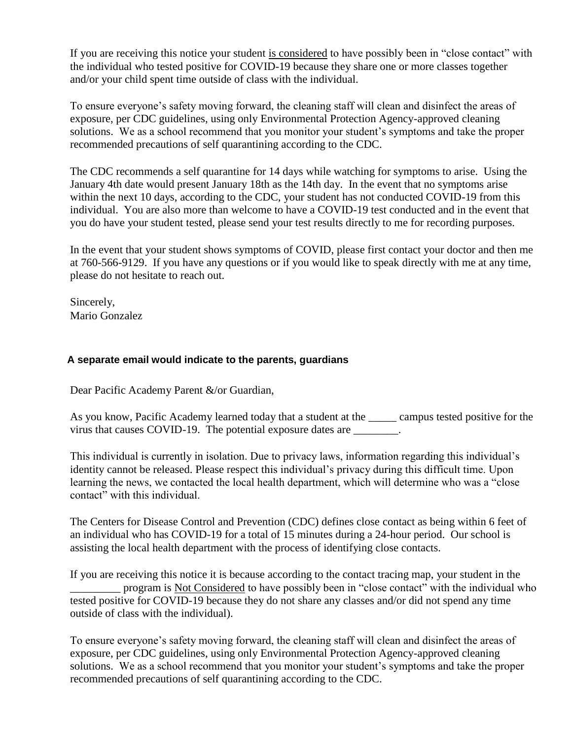If you are receiving this notice your student is considered to have possibly been in "close contact" with the individual who tested positive for COVID-19 because they share one or more classes together and/or your child spent time outside of class with the individual.

To ensure everyone's safety moving forward, the cleaning staff will clean and disinfect the areas of exposure, per CDC guidelines, using only Environmental Protection Agency-approved cleaning solutions. We as a school recommend that you monitor your student's symptoms and take the proper recommended precautions of self quarantining according to the CDC.

The CDC recommends a self quarantine for 14 days while watching for symptoms to arise. Using the January 4th date would present January 18th as the 14th day. In the event that no symptoms arise within the next 10 days, according to the CDC, your student has not conducted COVID-19 from this individual. You are also more than welcome to have a COVID-19 test conducted and in the event that you do have your student tested, please send your test results directly to me for recording purposes.

In the event that your student shows symptoms of COVID, please first contact your doctor and then me at 760-566-9129. If you have any questions or if you would like to speak directly with me at any time, please do not hesitate to reach out.

Sincerely, Mario Gonzalez

#### **A separate email would indicate to the parents, guardians**

Dear Pacific Academy Parent &/or Guardian,

As you know, Pacific Academy learned today that a student at the \_\_\_\_\_ campus tested positive for the virus that causes COVID-19. The potential exposure dates are \_\_\_\_\_\_\_\_.

This individual is currently in isolation. Due to privacy laws, information regarding this individual's identity cannot be released. Please respect this individual's privacy during this difficult time. Upon learning the news, we contacted the local health department, which will determine who was a "close contact" with this individual.

The Centers for Disease Control and Prevention (CDC) defines close contact as being within 6 feet of an individual who has COVID-19 for a total of 15 minutes during a 24-hour period. Our school is assisting the local health department with the process of identifying close contacts.

If you are receiving this notice it is because according to the contact tracing map, your student in the \_\_\_\_\_\_\_\_\_ program is Not Considered to have possibly been in "close contact" with the individual who tested positive for COVID-19 because they do not share any classes and/or did not spend any time outside of class with the individual).

To ensure everyone's safety moving forward, the cleaning staff will clean and disinfect the areas of exposure, per CDC guidelines, using only Environmental Protection Agency-approved cleaning solutions. We as a school recommend that you monitor your student's symptoms and take the proper recommended precautions of self quarantining according to the CDC.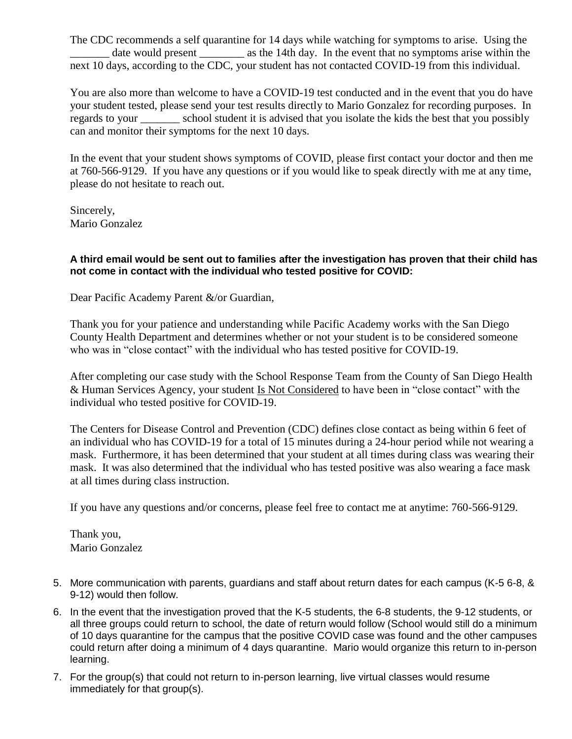The CDC recommends a self quarantine for 14 days while watching for symptoms to arise. Using the date would present as the 14th day. In the event that no symptoms arise within the next 10 days, according to the CDC, your student has not contacted COVID-19 from this individual.

You are also more than welcome to have a COVID-19 test conducted and in the event that you do have your student tested, please send your test results directly to Mario Gonzalez for recording purposes. In regards to your \_\_\_\_\_\_\_ school student it is advised that you isolate the kids the best that you possibly can and monitor their symptoms for the next 10 days.

In the event that your student shows symptoms of COVID, please first contact your doctor and then me at 760-566-9129. If you have any questions or if you would like to speak directly with me at any time, please do not hesitate to reach out.

Sincerely, Mario Gonzalez

#### **A third email would be sent out to families after the investigation has proven that their child has not come in contact with the individual who tested positive for COVID:**

Dear Pacific Academy Parent &/or Guardian,

Thank you for your patience and understanding while Pacific Academy works with the San Diego County Health Department and determines whether or not your student is to be considered someone who was in "close contact" with the individual who has tested positive for COVID-19.

After completing our case study with the School Response Team from the County of San Diego Health & Human Services Agency, your student Is Not Considered to have been in "close contact" with the individual who tested positive for COVID-19.

The Centers for Disease Control and Prevention (CDC) defines close contact as being within 6 feet of an individual who has COVID-19 for a total of 15 minutes during a 24-hour period while not wearing a mask. Furthermore, it has been determined that your student at all times during class was wearing their mask. It was also determined that the individual who has tested positive was also wearing a face mask at all times during class instruction.

If you have any questions and/or concerns, please feel free to contact me at anytime: 760-566-9129.

Thank you, Mario Gonzalez

- 5. More communication with parents, guardians and staff about return dates for each campus (K-5 6-8, & 9-12) would then follow.
- 6. In the event that the investigation proved that the K-5 students, the 6-8 students, the 9-12 students, or all three groups could return to school, the date of return would follow (School would still do a minimum of 10 days quarantine for the campus that the positive COVID case was found and the other campuses could return after doing a minimum of 4 days quarantine. Mario would organize this return to in-person learning.
- 7. For the group(s) that could not return to in-person learning, live virtual classes would resume immediately for that group(s).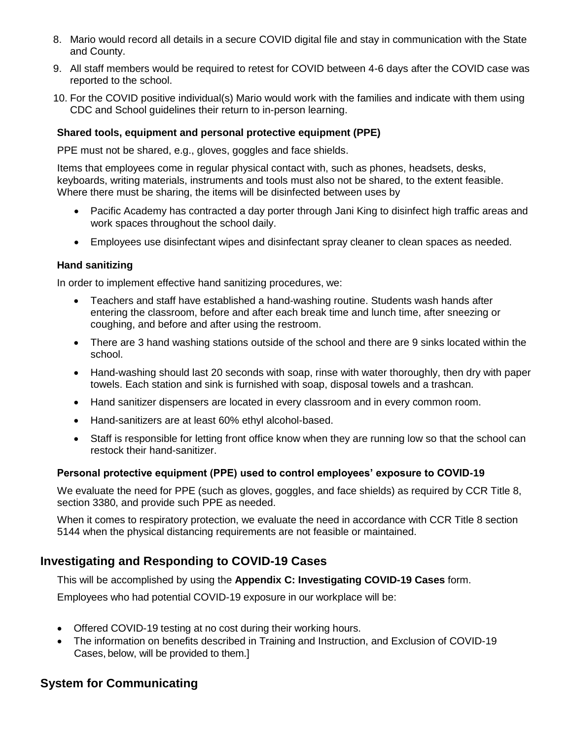- 8. Mario would record all details in a secure COVID digital file and stay in communication with the State and County.
- 9. All staff members would be required to retest for COVID between 4-6 days after the COVID case was reported to the school.
- 10. For the COVID positive individual(s) Mario would work with the families and indicate with them using CDC and School guidelines their return to in-person learning.

#### **Shared tools, equipment and personal protective equipment (PPE)**

PPE must not be shared, e.g., gloves, goggles and face shields.

Items that employees come in regular physical contact with, such as phones, headsets, desks, keyboards, writing materials, instruments and tools must also not be shared, to the extent feasible. Where there must be sharing, the items will be disinfected between uses by

- Pacific Academy has contracted a day porter through Jani King to disinfect high traffic areas and work spaces throughout the school daily.
- Employees use disinfectant wipes and disinfectant spray cleaner to clean spaces as needed.

#### **Hand sanitizing**

In order to implement effective hand sanitizing procedures, we:

- Teachers and staff have established a hand-washing routine. Students wash hands after entering the classroom, before and after each break time and lunch time, after sneezing or coughing, and before and after using the restroom.
- There are 3 hand washing stations outside of the school and there are 9 sinks located within the school.
- Hand-washing should last 20 seconds with soap, rinse with water thoroughly, then dry with paper towels. Each station and sink is furnished with soap, disposal towels and a trashcan.
- Hand sanitizer dispensers are located in every classroom and in every common room.
- Hand-sanitizers are at least 60% ethyl alcohol-based.
- Staff is responsible for letting front office know when they are running low so that the school can restock their hand-sanitizer.

#### **Personal protective equipment (PPE) used to control employees' exposure to COVID-19**

We evaluate the need for PPE (such as gloves, goggles, and face shields) as required by CCR Title 8, section 3380, and provide such PPE as needed.

When it comes to respiratory protection, we evaluate the need in accordance with CCR Title 8 section 5144 when the physical distancing requirements are not feasible or maintained.

# **Investigating and Responding to COVID-19 Cases**

This will be accomplished by using the **Appendix C: Investigating COVID-19 Cases** form.

Employees who had potential COVID-19 exposure in our workplace will be:

- Offered COVID-19 testing at no cost during their working hours.
- The information on benefits described in Training and Instruction, and Exclusion of COVID-19 Cases, below, will be provided to them.]

### **System for Communicating**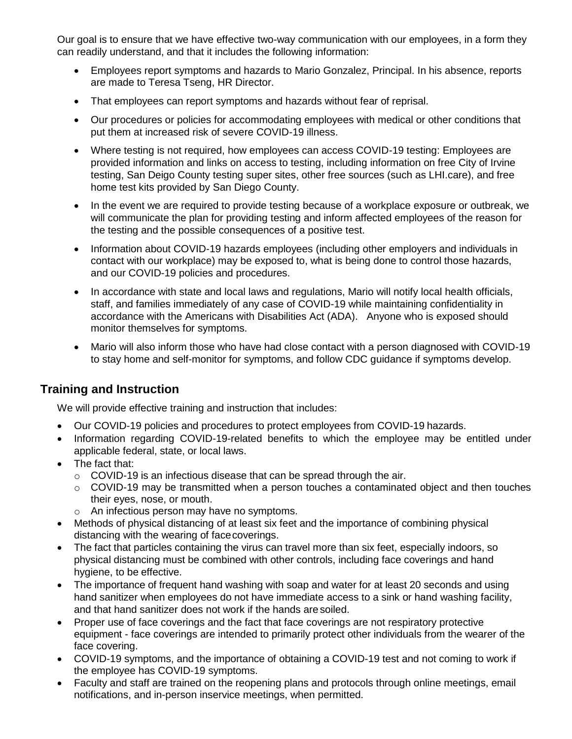Our goal is to ensure that we have effective two-way communication with our employees, in a form they can readily understand, and that it includes the following information:

- Employees report symptoms and hazards to Mario Gonzalez, Principal. In his absence, reports are made to Teresa Tseng, HR Director.
- That employees can report symptoms and hazards without fear of reprisal.
- Our procedures or policies for accommodating employees with medical or other conditions that put them at increased risk of severe COVID-19 illness.
- Where testing is not required, how employees can access COVID-19 testing: Employees are provided information and links on access to testing, including information on free City of Irvine testing, San Deigo County testing super sites, other free sources (such as LHI.care), and free home test kits provided by San Diego County.
- In the event we are required to provide testing because of a workplace exposure or outbreak, we will communicate the plan for providing testing and inform affected employees of the reason for the testing and the possible consequences of a positive test.
- Information about COVID-19 hazards employees (including other employers and individuals in contact with our workplace) may be exposed to, what is being done to control those hazards, and our COVID-19 policies and procedures.
- In accordance with state and local laws and regulations, Mario will notify local health officials, staff, and families immediately of any case of COVID-19 while maintaining confidentiality in accordance with the Americans with Disabilities Act (ADA). Anyone who is exposed should monitor themselves for symptoms.
- Mario will also inform those who have had close contact with a person diagnosed with COVID-19 to stay home and self-monitor for symptoms, and follow CDC guidance if symptoms develop.

# **Training and Instruction**

We will provide effective training and instruction that includes:

- Our COVID-19 policies and procedures to protect employees from COVID-19 hazards.
- Information regarding COVID-19-related benefits to which the employee may be entitled under applicable federal, state, or local laws.
- The fact that:
	- $\circ$  COVID-19 is an infectious disease that can be spread through the air.
	- o COVID-19 may be transmitted when a person touches a contaminated object and then touches their eyes, nose, or mouth.
	- o An infectious person may have no symptoms.
- Methods of physical distancing of at least six feet and the importance of combining physical distancing with the wearing of facecoverings.
- The fact that particles containing the virus can travel more than six feet, especially indoors, so physical distancing must be combined with other controls, including face coverings and hand hygiene, to be effective.
- The importance of frequent hand washing with soap and water for at least 20 seconds and using hand sanitizer when employees do not have immediate access to a sink or hand washing facility, and that hand sanitizer does not work if the hands are soiled.
- Proper use of face coverings and the fact that face coverings are not respiratory protective equipment - face coverings are intended to primarily protect other individuals from the wearer of the face covering.
- COVID-19 symptoms, and the importance of obtaining a COVID-19 test and not coming to work if the employee has COVID-19 symptoms.
- Faculty and staff are trained on the reopening plans and protocols through online meetings, email notifications, and in-person inservice meetings, when permitted.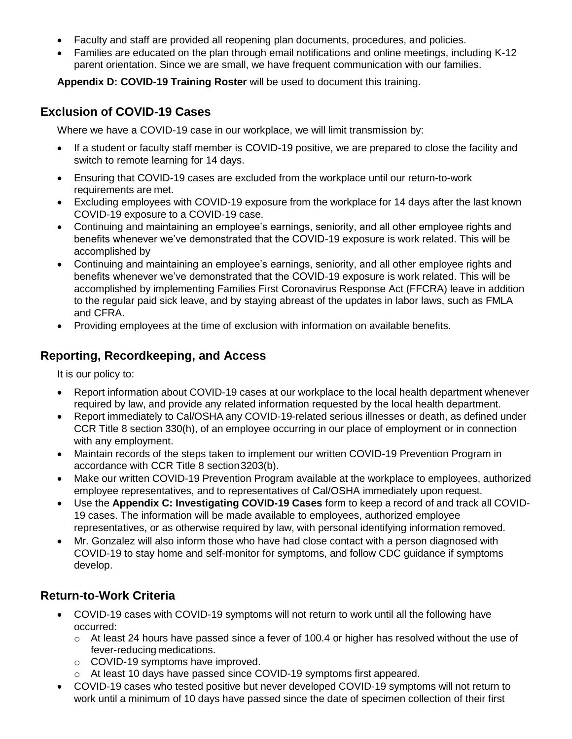- Faculty and staff are provided all reopening plan documents, procedures, and policies.
- Families are educated on the plan through email notifications and online meetings, including K-12 parent orientation. Since we are small, we have frequent communication with our families.

**Appendix D: COVID-19 Training Roster** will be used to document this training.

### **Exclusion of COVID-19 Cases**

Where we have a COVID-19 case in our workplace, we will limit transmission by:

- If a student or faculty staff member is COVID-19 positive, we are prepared to close the facility and switch to remote learning for 14 days.
- Ensuring that COVID-19 cases are excluded from the workplace until our return-to-work requirements are met.
- Excluding employees with COVID-19 exposure from the workplace for 14 days after the last known COVID-19 exposure to a COVID-19 case.
- Continuing and maintaining an employee's earnings, seniority, and all other employee rights and benefits whenever we've demonstrated that the COVID-19 exposure is work related. This will be accomplished by
- Continuing and maintaining an employee's earnings, seniority, and all other employee rights and benefits whenever we've demonstrated that the COVID-19 exposure is work related. This will be accomplished by implementing Families First Coronavirus Response Act (FFCRA) leave in addition to the regular paid sick leave, and by staying abreast of the updates in labor laws, such as FMLA and CFRA.
- Providing employees at the time of exclusion with information on available benefits.

# **Reporting, Recordkeeping, and Access**

It is our policy to:

- Report information about COVID-19 cases at our workplace to the local health department whenever required by law, and provide any related information requested by the local health department.
- Report immediately to Cal/OSHA any COVID-19-related serious illnesses or death, as defined under CCR Title 8 section 330(h), of an employee occurring in our place of employment or in connection with any employment.
- Maintain records of the steps taken to implement our written COVID-19 Prevention Program in accordance with CCR Title 8 section3203(b).
- Make our written COVID-19 Prevention Program available at the workplace to employees, authorized employee representatives, and to representatives of Cal/OSHA immediately upon request.
- Use the **Appendix C: Investigating COVID-19 Cases** form to keep a record of and track all COVID-19 cases. The information will be made available to employees, authorized employee representatives, or as otherwise required by law, with personal identifying information removed.
- Mr. Gonzalez will also inform those who have had close contact with a person diagnosed with COVID-19 to stay home and self-monitor for symptoms, and follow CDC guidance if symptoms develop.

# **Return-to-Work Criteria**

- COVID-19 cases with COVID-19 symptoms will not return to work until all the following have occurred:
	- $\circ$  At least 24 hours have passed since a fever of 100.4 or higher has resolved without the use of fever-reducing medications.
	- o COVID-19 symptoms have improved.
	- o At least 10 days have passed since COVID-19 symptoms first appeared.
- COVID-19 cases who tested positive but never developed COVID-19 symptoms will not return to work until a minimum of 10 days have passed since the date of specimen collection of their first